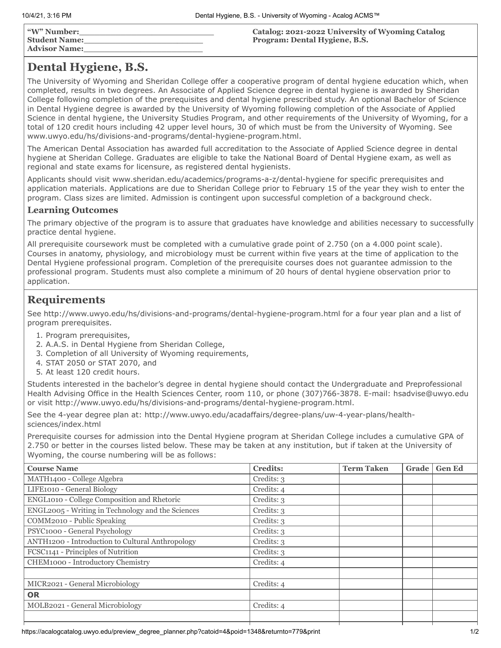| "W" Number:<br><b>Student Name:</b><br><b>Advisor Name:</b> | Catalog: 2021-2022 University of Wyoming Catalog<br>Program: Dental Hygiene, B.S. |
|-------------------------------------------------------------|-----------------------------------------------------------------------------------|
|-------------------------------------------------------------|-----------------------------------------------------------------------------------|

# **Dental Hygiene, B.S.**

The University of Wyoming and Sheridan College offer a cooperative program of dental hygiene education which, when completed, results in two degrees. An Associate of Applied Science degree in dental hygiene is awarded by Sheridan College following completion of the prerequisites and dental hygiene prescribed study. An optional Bachelor of Science in Dental Hygiene degree is awarded by the University of Wyoming following completion of the Associate of Applied Science in dental hygiene, the University Studies Program, and other requirements of the University of Wyoming, for a total of 120 credit hours including 42 upper level hours, 30 of which must be from the University of Wyoming. See www.uwyo.edu/hs/divisions-and-programs/dental-hygiene-program.html.

The American Dental Association has awarded full accreditation to the Associate of Applied Science degree in dental hygiene at Sheridan College. Graduates are eligible to take the National Board of Dental Hygiene exam, as well as regional and state exams for licensure, as registered dental hygienists.

Applicants should visit www.sheridan.edu/academics/programs-a-z/dental-hygiene for specific prerequisites and application materials. Applications are due to Sheridan College prior to February 15 of the year they wish to enter the program. Class sizes are limited. Admission is contingent upon successful completion of a background check.

## **Learning Outcomes**

The primary objective of the program is to assure that graduates have knowledge and abilities necessary to successfully practice dental hygiene.

All prerequisite coursework must be completed with a cumulative grade point of 2.750 (on a 4.000 point scale). Courses in anatomy, physiology, and microbiology must be current within five years at the time of application to the Dental Hygiene professional program. Completion of the prerequisite courses does not guarantee admission to the professional program. Students must also complete a minimum of 20 hours of dental hygiene observation prior to application.

# **Requirements**

See http://www.uwyo.edu/hs/divisions-and-programs/dental-hygiene-program.html for a four year plan and a list of program prerequisites.

- 1. Program prerequisites,
- 2. A.A.S. in Dental Hygiene from Sheridan College,
- 3. Completion of all University of Wyoming requirements,
- 4. STAT 2050 or STAT 2070, and
- 5. At least 120 credit hours.

Students interested in the bachelor's degree in dental hygiene should contact the Undergraduate and Preprofessional Health Advising Office in the Health Sciences Center, room 110, or phone (307)766-3878. E-mail: hsadvise@uwyo.edu or visit http://www.uwyo.edu/hs/divisions-and-programs/dental-hygiene-program.html.

See the 4-year degree plan at: http://www.uwyo.edu/acadaffairs/degree-plans/uw-4-year-plans/healthsciences/index.html

Prerequisite courses for admission into the Dental Hygiene program at Sheridan College includes a cumulative GPA of 2.750 or better in the courses listed below. These may be taken at any institution, but if taken at the University of Wyoming, the course numbering will be as follows:

| <b>Course Name</b>                                      | <b>Credits:</b> | <b>Term Taken</b> | Grade | <b>Gen Ed</b> |
|---------------------------------------------------------|-----------------|-------------------|-------|---------------|
| MATH1400 - College Algebra                              | Credits: 3      |                   |       |               |
| LIFE1010 - General Biology                              | Credits: 4      |                   |       |               |
| ENGL1010 - College Composition and Rhetoric             | Credits: 3      |                   |       |               |
| ENGL2005 - Writing in Technology and the Sciences       | Credits: 3      |                   |       |               |
| COMM2010 - Public Speaking                              | Credits: 3      |                   |       |               |
| PSYC1000 - General Psychology                           | Credits: 3      |                   |       |               |
| <b>ANTH1200 - Introduction to Cultural Anthropology</b> | Credits: 3      |                   |       |               |
| FCSC1141 - Principles of Nutrition                      | Credits: 3      |                   |       |               |
| CHEM1000 - Introductory Chemistry                       | Credits: 4      |                   |       |               |
|                                                         |                 |                   |       |               |
| MICR2021 - General Microbiology                         | Credits: 4      |                   |       |               |
| <b>OR</b>                                               |                 |                   |       |               |
| MOLB2021 - General Microbiology                         | Credits: 4      |                   |       |               |
|                                                         |                 |                   |       |               |